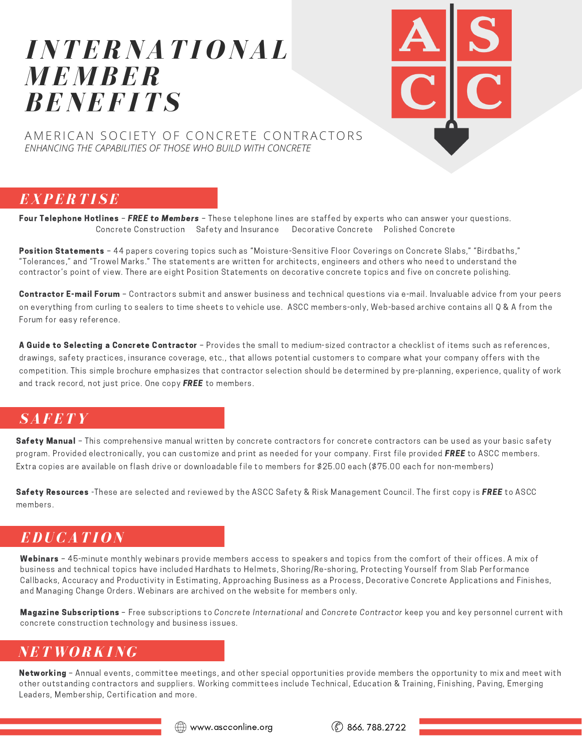# *INTERNATI O NAL M E M BER BENEF ITS*



AMERICAN SOCIETY OF CONCRETE CONTRACTORS *ENHANCING THE CAPABILITIES OF THOSE WHO BUILD WITH CONCRETE*

## *EXPERTI SE*

Four Telephone Hotlines - FREE to Members - These telephone lines are staffed by experts who can answer your questions. Concrete Construction Safety and Insurance Decorative Concrete Polished Concrete

Position Statements - 44 papers covering topics such as "Moisture-Sensitive Floor Coverings on Concrete Slabs," "Birdbaths," "Tolerances," and "Trowel Marks." The statements are written for architects, engineers and others who need to understand the contractor's point of view. There are eight Position Statements on decorative concrete topics and five on concrete polishing.

Contractor E-mail Forum - Contractors submit and answer business and technical questions via e-mail. Invaluable advice from your peers on everything from curling to sealers to time sheets to vehicle use. ASCC members-only, Web-based archive contains all Q & A from the Forum for easy reference.

A Guide to Selecting a Concrete Contractor - Provides the small to medium-sized contractor a checklist of items such as references, drawings, safety practices, insurance coverage, etc., that allows potential customers to compare what your company offers with the competition. This simple brochure emphasizes that contractor selection should be determined by pre-planning, experience, quality of work and track record, not just price. One copy **FREE** to members.

## *SAFETY*

Safety Manual - This comprehensive manual written by concrete contractors for concrete contractors can be used as your basic safety program. Provided electronically, you can customize and print as needed for your company. First file provided FREE to ASCC members. Extra copies are available on flash drive or downloadable file to members for \$25.00 each (\$75.00 each for non-members)

Safety Resources -These are selected and reviewed by the ASCC Safety & Risk Management Council. The first copy is FREE to ASCC members.

## *EDUCATI O N*

Webinars - 45-minute monthly webinars provide members access to speakers and topics from the comfort of their offices. A mix of business and technical topics have included Hardhats to Helmets, Shoring/Re-shoring, Protecting Yourself from Slab Performance Callbacks, Accuracy and Productivity in Estimating, Approaching Business as a Process, Decorative Concrete Applications and Finishes, and Managing Change Orders. Webinars are archived on the website for members only.

Magazine Subscriptions - Free subscriptions to Concrete International and Concrete Contractor keep you and key personnel current with concrete construction technology and business issues.

#### *NET W O RKING*

Networking - Annual events, committee meetings, and other special opportunities provide members the opportunity to mix and meet with other outstanding contractors and suppliers. Working committees include Technical, Education & Training, Finishing, Paving, Emerging Leaders, Membership, Certification and more.

 $\textcircled{\tiny{\textcircled{\tiny{+}}}}$  www.ascconline.org  $\textcircled{\tiny{\textcircled{\tiny{+}}}}$  866. 788.2722